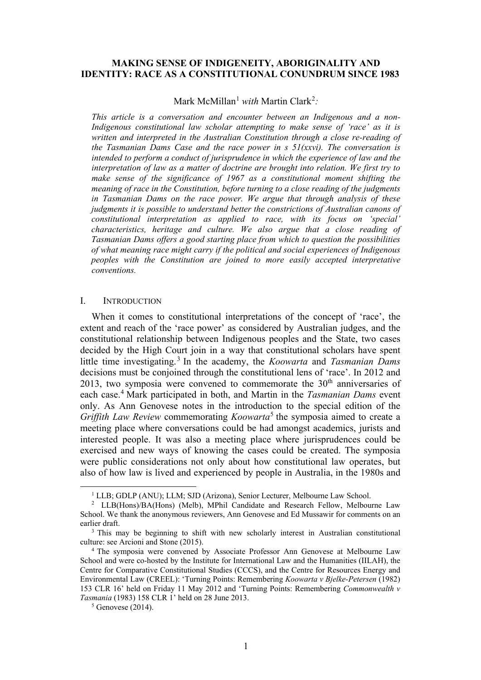# **MAKING SENSE OF INDIGENEITY, ABORIGINALITY AND IDENTITY: RACE AS A CONSTITUTIONAL CONUNDRUM SINCE 1983**

Mark McMillan<sup>[1](#page-0-0)</sup> with Martin Clark<sup>[2](#page-0-1)</sup>:

*This article is a conversation and encounter between an Indigenous and a non-Indigenous constitutional law scholar attempting to make sense of 'race' as it is written and interpreted in the Australian Constitution through a close re-reading of the Tasmanian Dams Case and the race power in s 51(xxvi). The conversation is intended to perform a conduct of jurisprudence in which the experience of law and the interpretation of law as a matter of doctrine are brought into relation. We first try to make sense of the significance of 1967 as a constitutional moment shifting the meaning of race in the Constitution, before turning to a close reading of the judgments in Tasmanian Dams on the race power. We argue that through analysis of these judgments it is possible to understand better the constrictions of Australian canons of constitutional interpretation as applied to race, with its focus on 'special' characteristics, heritage and culture. We also argue that a close reading of Tasmanian Dams offers a good starting place from which to question the possibilities of what meaning race might carry if the political and social experiences of Indigenous peoples with the Constitution are joined to more easily accepted interpretative conventions.*

### I. INTRODUCTION

When it comes to constitutional interpretations of the concept of 'race', the extent and reach of the 'race power' as considered by Australian judges, and the constitutional relationship between Indigenous peoples and the State, two cases decided by the High Court join in a way that constitutional scholars have spent little time investigating. [3](#page-0-2) In the academy, the *Koowarta* and *Tasmanian Dams* decisions must be conjoined through the constitutional lens of 'race'. In 2012 and 2013, two symposia were convened to commemorate the  $30<sup>th</sup>$  anniversaries of each case.[4](#page-0-3) Mark participated in both, and Martin in the *Tasmanian Dams* event only. As Ann Genovese notes in the introduction to the special edition of the *Griffith Law Review* commemorating *Koowarta*<sup>[5](#page-0-4)</sup> the symposia aimed to create a meeting place where conversations could be had amongst academics, jurists and interested people. It was also a meeting place where jurisprudences could be exercised and new ways of knowing the cases could be created. The symposia were public considerations not only about how constitutional law operates, but also of how law is lived and experienced by people in Australia, in the 1980s and

<span id="page-0-4"></span> $5$  Genovese (2014).

<sup>&</sup>lt;sup>1</sup> LLB; GDLP (ANU); LLM; SJD (Arizona), Senior Lecturer, Melbourne Law School.

<span id="page-0-1"></span><span id="page-0-0"></span><sup>2</sup> LLB(Hons)/BA(Hons) (Melb), MPhil Candidate and Research Fellow, Melbourne Law School. We thank the anonymous reviewers, Ann Genovese and Ed Mussawir for comments on an earlier draft.

<span id="page-0-2"></span><sup>&</sup>lt;sup>3</sup> This may be beginning to shift with new scholarly interest in Australian constitutional culture: see Arcioni and Stone (2015).

<span id="page-0-3"></span><sup>4</sup> The symposia were convened by Associate Professor Ann Genovese at Melbourne Law School and were co-hosted by the Institute for [International](http://www.law.unimelb.edu.au/institute-for-international-law-and-the-humanities) Law and the Humanities (IILAH), the Centre for Comparative [Constitutional](http://www.law.unimelb.edu.au/cccs/) Studies (CCCS), and the Centre for [Resources](http://www.law.unimelb.edu.au/creel) Energy and [Environmental](http://www.law.unimelb.edu.au/creel) Law (CREEL): 'Turning Points: Remembering *Koowarta v [Bjelke-Petersen](http://www.law.unimelb.edu.au/melbourne-law-school/news-and-events/news-and-events-details/diaryid/5995)* (1982) 153 [CLR](http://www.law.unimelb.edu.au/melbourne-law-school/news-and-events/news-and-events-details/diaryid/5995) 16' held on Friday 11 May 2012 and 'Turning Points: Remembering *[Commonwealth](http://www.law.unimelb.edu.au/melbourne-law-school/news-and-events/news-and-events-details/diaryid/6532) v [Tasmania](http://www.law.unimelb.edu.au/melbourne-law-school/news-and-events/news-and-events-details/diaryid/6532)* (1983) 158 CLR 1' held on 28 June 2013.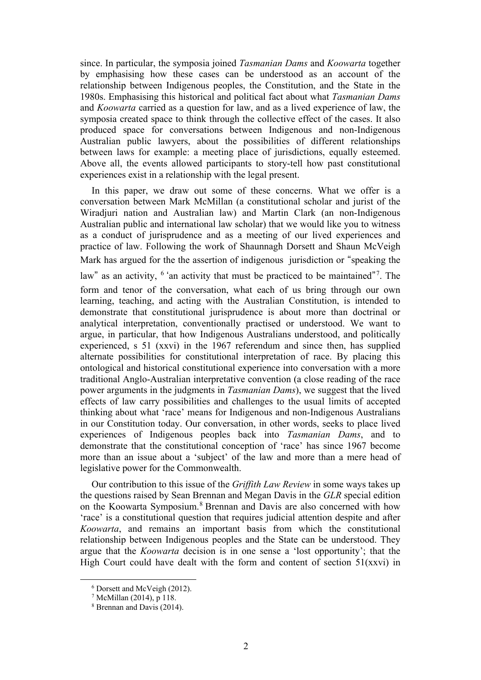since. In particular, the symposia joined *Tasmanian Dams* and *Koowarta* together by emphasising how these cases can be understood as an account of the relationship between Indigenous peoples, the Constitution, and the State in the 1980s. Emphasising this historical and political fact about what *Tasmanian Dams* and *Koowarta* carried as a question for law, and as a lived experience of law, the symposia created space to think through the collective effect of the cases. It also produced space for conversations between Indigenous and non-Indigenous Australian public lawyers, about the possibilities of different relationships between laws for example: a meeting place of jurisdictions, equally esteemed. Above all, the events allowed participants to story-tell how past constitutional experiences exist in a relationship with the legal present.

In this paper, we draw out some of these concerns. What we offer is a conversation between Mark McMillan (a constitutional scholar and jurist of the Wiradjuri nation and Australian law) and Martin Clark (an non-Indigenous Australian public and international law scholar) that we would like you to witness as a conduct of jurisprudence and as a meeting of our lived experiences and practice of law. Following the work of Shaunnagh Dorsett and Shaun McVeigh Mark has argued for the the assertion of indigenous jurisdiction or "speaking the

law" as an activity, <sup>[6](#page-1-0)</sup> 'an activity that must be practiced to be maintained"<sup>[7](#page-1-1)</sup>. The form and tenor of the conversation, what each of us bring through our own learning, teaching, and acting with the Australian Constitution, is intended to demonstrate that constitutional jurisprudence is about more than doctrinal or analytical interpretation, conventionally practised or understood. We want to argue, in particular, that how Indigenous Australians understood, and politically experienced, s 51 (xxvi) in the 1967 referendum and since then, has supplied alternate possibilities for constitutional interpretation of race. By placing this ontological and historical constitutional experience into conversation with a more traditional Anglo-Australian interpretative convention (a close reading of the race power arguments in the judgments in *Tasmanian Dams*), we suggest that the lived effects of law carry possibilities and challenges to the usual limits of accepted thinking about what 'race' means for Indigenous and non-Indigenous Australians in our Constitution today. Our conversation, in other words, seeks to place lived experiences of Indigenous peoples back into *Tasmanian Dams*, and to demonstrate that the constitutional conception of 'race' has since 1967 become more than an issue about a 'subject' of the law and more than a mere head of legislative power for the Commonwealth.

Our contribution to this issue of the *Griffith Law Review* in some ways takes up the questions raised by Sean Brennan and Megan Davis in the *GLR* special edition on the Koowarta Symposium. [8](#page-1-2) Brennan and Davis are also concerned with how 'race' is a constitutional question that requires judicial attention despite and after *Koowarta*, and remains an important basis from which the constitutional relationship between Indigenous peoples and the State can be understood. They argue that the *Koowarta* decision is in one sense a 'lost opportunity'; that the High Court could have dealt with the form and content of section  $51(xxy)$  in

<span id="page-1-1"></span><span id="page-1-0"></span><sup>6</sup> Dorsett and McVeigh (2012).

<sup>7</sup> McMillan (2014), p 118.

<span id="page-1-2"></span><sup>8</sup> Brennan and Davis (2014).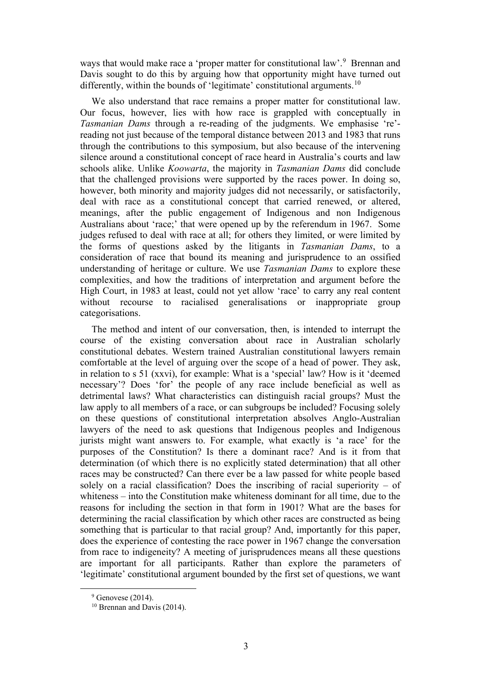ways that would make race a 'proper matter for constitutional law'.<sup>[9](#page-2-0)</sup> Brennan and Davis sought to do this by arguing how that opportunity might have turned out differently, within the bounds of 'legitimate' constitutional arguments.<sup>[10](#page-2-1)</sup>

We also understand that race remains a proper matter for constitutional law. Our focus, however, lies with how race is grappled with conceptually in *Tasmanian Dams* through a re-reading of the judgments. We emphasise 're' reading not just because of the temporal distance between 2013 and 1983 that runs through the contributions to this symposium, but also because of the intervening silence around a constitutional concept of race heard in Australia's courts and law schools alike. Unlike *Koowarta*, the majority in *Tasmanian Dams* did conclude that the challenged provisions were supported by the races power. In doing so, however, both minority and majority judges did not necessarily, or satisfactorily, deal with race as a constitutional concept that carried renewed, or altered, meanings, after the public engagement of Indigenous and non Indigenous Australians about 'race;' that were opened up by the referendum in 1967. Some judges refused to deal with race at all; for others they limited, or were limited by the forms of questions asked by the litigants in *Tasmanian Dams*, to a consideration of race that bound its meaning and jurisprudence to an ossified understanding of heritage or culture. We use *Tasmanian Dams* to explore these complexities, and how the traditions of interpretation and argument before the High Court, in 1983 at least, could not yet allow 'race' to carry any real content without recourse to racialised generalisations or inappropriate group categorisations.

The method and intent of our conversation, then, is intended to interrupt the course of the existing conversation about race in Australian scholarly constitutional debates. Western trained Australian constitutional lawyers remain comfortable at the level of arguing over the scope of a head of power. They ask, in relation to s 51 (xxvi), for example: What is a 'special' law? How is it 'deemed necessary'? Does 'for' the people of any race include beneficial as well as detrimental laws? What characteristics can distinguish racial groups? Must the law apply to all members of a race, or can subgroups be included? Focusing solely on these questions of constitutional interpretation absolves Anglo-Australian lawyers of the need to ask questions that Indigenous peoples and Indigenous jurists might want answers to. For example, what exactly is 'a race' for the purposes of the Constitution? Is there a dominant race? And is it from that determination (of which there is no explicitly stated determination) that all other races may be constructed? Can there ever be a law passed for white people based solely on a racial classification? Does the inscribing of racial superiority – of whiteness – into the Constitution make whiteness dominant for all time, due to the reasons for including the section in that form in 1901? What are the bases for determining the racial classification by which other races are constructed as being something that is particular to that racial group? And, importantly for this paper, does the experience of contesting the race power in 1967 change the conversation from race to indigeneity? A meeting of jurisprudences means all these questions are important for all participants. Rather than explore the parameters of 'legitimate' constitutional argument bounded by the first set of questions, we want

<span id="page-2-0"></span> $9$  Genovese (2014).

<span id="page-2-1"></span><sup>&</sup>lt;sup>10</sup> Brennan and Davis (2014).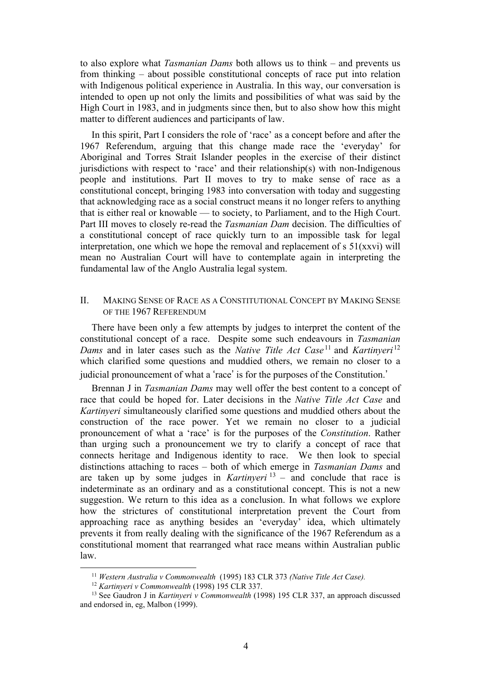to also explore what *Tasmanian Dams* both allows us to think – and prevents us from thinking – about possible constitutional concepts of race put into relation with Indigenous political experience in Australia. In this way, our conversation is intended to open up not only the limits and possibilities of what was said by the High Court in 1983, and in judgments since then, but to also show how this might matter to different audiences and participants of law.

In this spirit, Part I considers the role of 'race' as a concept before and after the 1967 Referendum, arguing that this change made race the 'everyday' for Aboriginal and Torres Strait Islander peoples in the exercise of their distinct jurisdictions with respect to 'race' and their relationship(s) with non-Indigenous people and institutions. Part II moves to try to make sense of race as a constitutional concept, bringing 1983 into conversation with today and suggesting that acknowledging race as a social construct means it no longer refers to anything that is either real or knowable — to society, to Parliament, and to the High Court. Part III moves to closely re-read the *Tasmanian Dam* decision. The difficulties of a constitutional concept of race quickly turn to an impossible task for legal interpretation, one which we hope the removal and replacement of  $s 51(xxy)$  will mean no Australian Court will have to contemplate again in interpreting the fundamental law of the Anglo Australia legal system.

## II. MAKING SENSE OF RACE AS A CONSTITUTIONAL CONCEPT BY MAKING SENSE OF THE 1967 REFERENDUM

There have been only a few attempts by judges to interpret the content of the constitutional concept of a race. Despite some such endeavours in *Tasmanian Dams* and in later cases such as the *Native Title Act Case* [11](#page-3-0) and *Kartinyeri* [12](#page-3-1) which clarified some questions and muddied others, we remain no closer to a judicial pronouncement of what a 'race' is for the purposes of the Constitution.'

Brennan J in *Tasmanian Dams* may well offer the best content to a concept of race that could be hoped for. Later decisions in the *Native Title Act Case* and *Kartinyeri* simultaneously clarified some questions and muddied others about the construction of the race power. Yet we remain no closer to a judicial pronouncement of what a 'race' is for the purposes of the *Constitution*. Rather than urging such a pronouncement we try to clarify a concept of race that connects heritage and Indigenous identity to race. We then look to special distinctions attaching to races – both of which emerge in *Tasmanian Dams* and are taken up by some judges in *Kartinyeri*  $13 -$  $13 -$  and conclude that race is indeterminate as an ordinary and as a constitutional concept. This is not a new suggestion. We return to this idea as a conclusion. In what follows we explore how the strictures of constitutional interpretation prevent the Court from approaching race as anything besides an 'everyday' idea, which ultimately prevents it from really dealing with the significance of the 1967 Referendum as a constitutional moment that rearranged what race means within Australian public law.

<sup>11</sup> *Western Australia v Commonwealth* (1995) 183 CLR 373 *(Native Title Act Case).*

<sup>12</sup> *Kartinyeri v Commonwealth* (1998) 195 CLR 337.

<span id="page-3-2"></span><span id="page-3-1"></span><span id="page-3-0"></span><sup>13</sup> See Gaudron J in *Kartinyeri v Commonwealth* (1998) 195 CLR 337, an approach discussed and endorsed in, eg, Malbon (1999).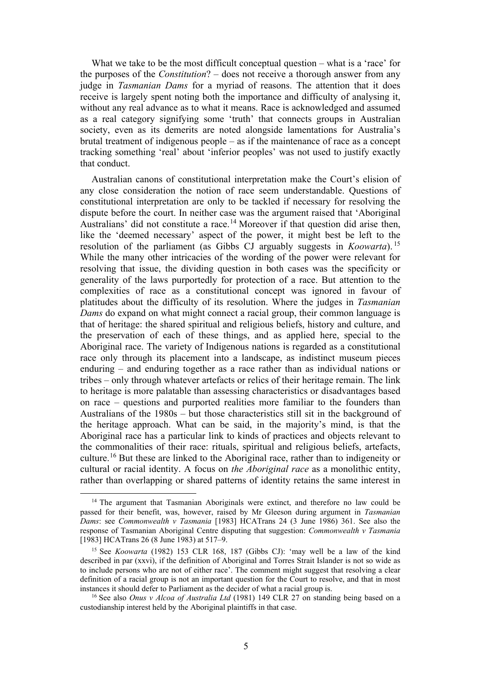What we take to be the most difficult conceptual question – what is a 'race' for the purposes of the *Constitution*? – does not receive a thorough answer from any judge in *Tasmanian Dams* for a myriad of reasons. The attention that it does receive is largely spent noting both the importance and difficulty of analysing it, without any real advance as to what it means. Race is acknowledged and assumed as a real category signifying some 'truth' that connects groups in Australian society, even as its demerits are noted alongside lamentations for Australia's brutal treatment of indigenous people – as if the maintenance of race as a concept tracking something 'real' about 'inferior peoples' was not used to justify exactly that conduct.

Australian canons of constitutional interpretation make the Court's elision of any close consideration the notion of race seem understandable. Questions of constitutional interpretation are only to be tackled if necessary for resolving the dispute before the court. In neither case was the argument raised that 'Aboriginal Australians' did not constitute a race.<sup>[14](#page-4-0)</sup> Moreover if that question did arise then, like the 'deemed necessary' aspect of the power, it might best be left to the resolution of the parliament (as Gibbs CJ arguably suggests in *Koowarta*). [15](#page-4-1) While the many other intricacies of the wording of the power were relevant for resolving that issue, the dividing question in both cases was the specificity or generality of the laws purportedly for protection of a race. But attention to the complexities of race as a constitutional concept was ignored in favour of platitudes about the difficulty of its resolution. Where the judges in *Tasmanian Dams* do expand on what might connect a racial group, their common language is that of heritage: the shared spiritual and religious beliefs, history and culture, and the preservation of each of these things, and as applied here, special to the Aboriginal race. The variety of Indigenous nations is regarded as a constitutional race only through its placement into a landscape, as indistinct museum pieces enduring – and enduring together as a race rather than as individual nations or tribes – only through whatever artefacts or relics of their heritage remain. The link to heritage is more palatable than assessing characteristics or disadvantages based on race – questions and purported realities more familiar to the founders than Australians of the 1980s – but those characteristics still sit in the background of the heritage approach. What can be said, in the majority's mind, is that the Aboriginal race has a particular link to kinds of practices and objects relevant to the commonalities of their race: rituals, spiritual and religious beliefs, artefacts, culture.[16](#page-5-0) But these are linked to the Aboriginal race, rather than to indigeneity or cultural or racial identity. A focus on *the Aboriginal race* as a monolithic entity, rather than overlapping or shared patterns of identity retains the same interest in

<span id="page-4-0"></span><sup>&</sup>lt;sup>14</sup> The argument that Tasmanian Aboriginals were extinct, and therefore no law could be passed for their benefit, was, however, raised by Mr Gleeson during argument in *Tasmanian Dams*: see *Commonwealth v Tasmania* [1983] HCATrans 24 (3 June 1986) 361. See also the response of Tasmanian Aboriginal Centre disputing that suggestion: *Commonwealth v Tasmania* [1983] HCATrans 26 (8 June 1983) at 517–9.

<span id="page-4-1"></span><sup>15</sup> See *Koowarta* (1982) 153 CLR 168, 187 (Gibbs CJ): 'may well be a law of the kind described in par (xxvi), if the definition of Aboriginal and Torres Strait Islander is not so wide as to include persons who are not of either race'. The comment might suggest that resolving a clear definition of a racial group is not an important question for the Court to resolve, and that in most instances it should defer to Parliament as the decider of what a racial group is.

<sup>16</sup> See also *Onus v Alcoa of Australia Ltd* (1981) 149 CLR 27 on standing being based on a custodianship interest held by the Aboriginal plaintiffs in that case.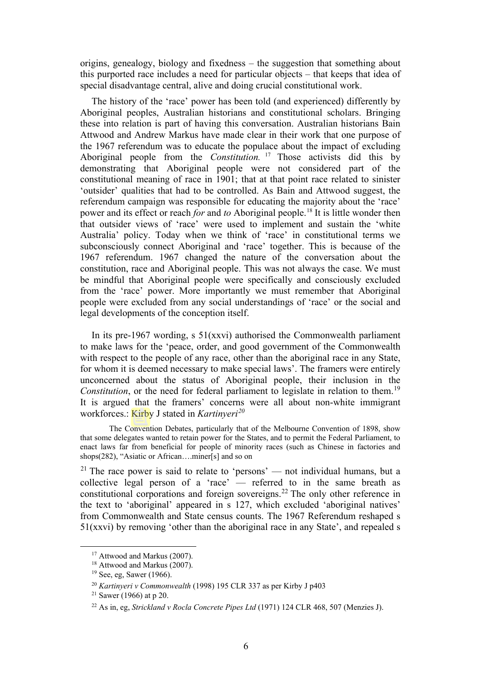origins, genealogy, biology and fixedness – the suggestion that something about this purported race includes a need for particular objects – that keeps that idea of special disadvantage central, alive and doing crucial constitutional work.

The history of the 'race' power has been told (and experienced) differently by Aboriginal peoples, Australian historians and constitutional scholars. Bringing these into relation is part of having this conversation. Australian historians Bain Attwood and Andrew Markus have made clear in their work that one purpose of the 1967 referendum was to educate the populace about the impact of excluding Aboriginal people from the *Constitution.* [17](#page-5-1) Those activists did this by demonstrating that Aboriginal people were not considered part of the constitutional meaning of race in 1901; that at that point race related to sinister 'outsider' qualities that had to be controlled. As Bain and Attwood suggest, the referendum campaign was responsible for educating the majority about the 'race' power and its effect or reach *for* and *to* Aboriginal people.[18](#page-5-2) It is little wonder then that outsider views of 'race' were used to implement and sustain the 'white Australia' policy. Today when we think of 'race' in constitutional terms we subconsciously connect Aboriginal and 'race' together. This is because of the 1967 referendum. 1967 changed the nature of the conversation about the constitution, race and Aboriginal people. This was not always the case. We must be mindful that Aboriginal people were specifically and consciously excluded from the 'race' power. More importantly we must remember that Aboriginal people were excluded from any social understandings of 'race' or the social and legal developments of the conception itself.

In its pre-1967 wording, s 51(xxvi) authorised the Commonwealth parliament to make laws for the 'peace, order, and good government of the Commonwealth with respect to the people of any race, other than the aboriginal race in any State, for whom it is deemed necessary to make special laws'. The framers were entirely unconcerned about the status of Aboriginal people, their inclusion in the *Constitution*, or the need for federal parliament to legislate in relation to them.<sup>19</sup> It is argued that the framers' concerns were all about non-white immigrant workforces.: Kirby J stated in *Kartinyeri[20](#page-5-4)*

The Convention Debates, particularly that of the Melbourne Convention of 1898, show that some delegates wanted to retain power for the States, and to permit the Federal Parliament, to enact laws far from beneficial for people of minority races (such as Chinese in factories and shops(282), "Asiatic or African....miner[s] and so on

<sup>[21](#page-6-0)</sup> The race power is said to relate to 'persons' — not individual humans, but a collective legal person of a 'race' — referred to in the same breath as constitutional corporations and foreign sovereigns.<sup>[22](#page-6-1)</sup> The only other reference in the text to 'aboriginal' appeared in s 127, which excluded 'aboriginal natives' from Commonwealth and State census counts. The 1967 Referendum reshaped s 51(xxvi) by removing 'other than the aboriginal race in any State', and repealed s

<span id="page-5-0"></span><sup>&</sup>lt;sup>17</sup> Attwood and Markus (2007).

<sup>&</sup>lt;sup>18</sup> Attwood and Markus (2007).

<span id="page-5-1"></span><sup>&</sup>lt;sup>19</sup> See, eg, Sawer (1966).

<span id="page-5-2"></span><sup>20</sup> *Kartinyeri v Commonwealth* (1998) 195 CLR 337 as per Kirby J p403

<span id="page-5-3"></span><sup>&</sup>lt;sup>21</sup> Sawer (1966) at p 20.

<span id="page-5-4"></span><sup>22</sup> As in, eg, *Strickland v Rocla Concrete Pipes Ltd* (1971) 124 CLR 468, 507 (Menzies J).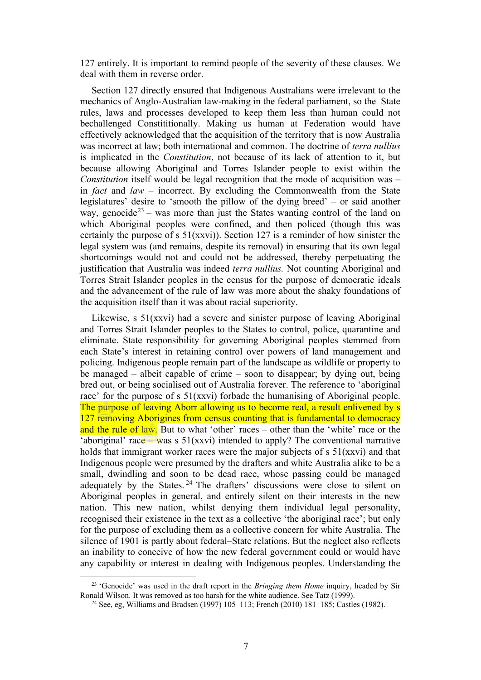127 entirely. It is important to remind people of the severity of these clauses. We deal with them in reverse order.

Section 127 directly ensured that Indigenous Australians were irrelevant to the mechanics of Anglo-Australian law-making in the federal parliament, so the State rules, laws and processes developed to keep them less than human could not bechallenged Constititionally. Making us human at Federation would have effectively acknowledged that the acquisition of the territory that is now Australia was incorrect at law; both international and common. The doctrine of *terra nullius* is implicated in the *Constitution*, not because of its lack of attention to it, but because allowing Aboriginal and Torres Islander people to exist within the *Constitution* itself would be legal recognition that the mode of acquisition was – in *fact* and *law –* incorrect. By excluding the Commonwealth from the State legislatures' desire to 'smooth the pillow of the dying breed' – or said another way, genocide<sup>[23](#page-6-2)</sup> – was more than just the States wanting control of the land on which Aboriginal peoples were confined, and then policed (though this was certainly the purpose of s  $51(xxy)$ ). Section 127 is a reminder of how sinister the legal system was (and remains, despite its removal) in ensuring that its own legal shortcomings would not and could not be addressed, thereby perpetuating the justification that Australia was indeed *terra nullius.* Not counting Aboriginal and Torres Strait Islander peoples in the census for the purpose of democratic ideals and the advancement of the rule of law was more about the shaky foundations of the acquisition itself than it was about racial superiority.

Likewise, s 51(xxvi) had a severe and sinister purpose of leaving Aboriginal and Torres Strait Islander peoples to the States to control, police, quarantine and eliminate. State responsibility for governing Aboriginal peoples stemmed from each State's interest in retaining control over powers of land management and policing. Indigenous people remain part of the landscape as wildlife or property to be managed – albeit capable of crime – soon to disappear; by dying out, being bred out, or being socialised out of Australia forever. The reference to 'aboriginal race' for the purpose of s 51(xxvi) forbade the humanising of Aboriginal people. The purpose of leaving Aborr allowing us to become real, a result enlivened by s 127 removing Aborigines from census counting that is fundamental to democracy and the rule of law. But to what 'other' races – other than the 'white' race or the 'aboriginal' race – was s  $51(xxyi)$  intended to apply? The conventional narrative holds that immigrant worker races were the major subjects of s 51(xxvi) and that Indigenous people were presumed by the drafters and white Australia alike to be a small, dwindling and soon to be dead race, whose passing could be managed adequately by the States. <sup>[24](#page-7-0)</sup> The drafters' discussions were close to silent on Aboriginal peoples in general, and entirely silent on their interests in the new nation. This new nation, whilst denying them individual legal personality, recognised their existence in the text as a collective 'the aboriginal race'; but only for the purpose of excluding them as a collective concern for white Australia. The silence of 1901 is partly about federal–State relations. But the neglect also reflects an inability to conceive of how the new federal government could or would have any capability or interest in dealing with Indigenous peoples. Understanding the

<span id="page-6-2"></span><span id="page-6-1"></span><span id="page-6-0"></span><sup>23</sup> 'Genocide' was used in the draft report in the *Bringing them Home* inquiry, headed by Sir Ronald Wilson. It was removed as too harsh for the white audience. See Tatz (1999).

<sup>24</sup> See, eg, Williams and Bradsen (1997) 105–113; French (2010) 181–185; Castles (1982).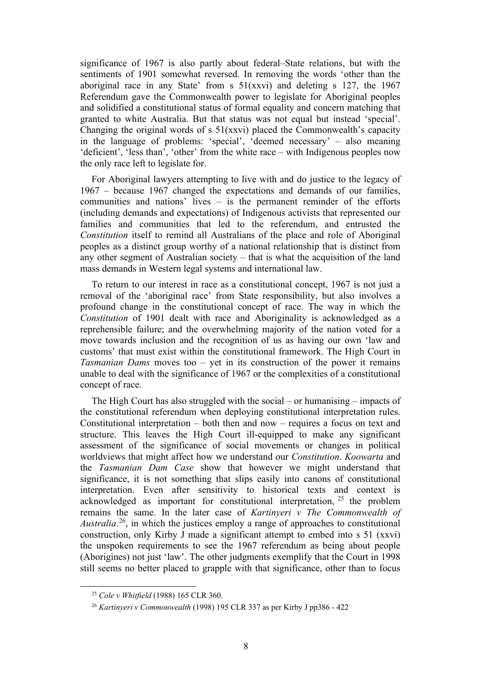significance of 1967 is also partly about federal–State relations, but with the sentiments of 1901 somewhat reversed. In removing the words 'other than the aboriginal race in any State' from s 51(xxvi) and deleting s 127, the 1967 Referendum gave the Commonwealth power to legislate for Aboriginal peoples and solidified a constitutional status of formal equality and concern matching that granted to white Australia. But that status was not equal but instead 'special'. Changing the original words of  $s \frac{51}{xv}$  placed the Commonwealth's capacity in the language of problems: 'special', 'deemed necessary' – also meaning 'deficient', 'less than', 'other' from the white race – with Indigenous peoples now the only race left to legislate for.

For Aboriginal lawyers attempting to live with and do justice to the legacy of 1967 – because 1967 changed the expectations and demands of our families, communities and nations' lives – is the permanent reminder of the efforts (including demands and expectations) of Indigenous activists that represented our families and communities that led to the referendum, and entrusted the *Constitution* itself to remind all Australians of the place and role of Aboriginal peoples as a distinct group worthy of a national relationship that is distinct from any other segment of Australian society – that is what the acquisition of the land mass demands in Western legal systems and international law.

To return to our interest in race as a constitutional concept, 1967 is not just a removal of the 'aboriginal race' from State responsibility, but also involves a profound change in the constitutional concept of race. The way in which the *Constitution* of 1901 dealt with race and Aboriginality is acknowledged as a reprehensible failure; and the overwhelming majority of the nation voted for a move towards inclusion and the recognition of us as having our own 'law and customs' that must exist within the constitutional framework. The High Court in *Tasmanian Dams* moves too – yet in its construction of the power it remains unable to deal with the significance of 1967 or the complexities of a constitutional concept of race.

The High Court has also struggled with the social – or humanising – impacts of the constitutional referendum when deploying constitutional interpretation rules. Constitutional interpretation – both then and now – requires a focus on text and structure. This leaves the High Court ill-equipped to make any significant assessment of the significance of social movements or changes in political worldviews that might affect how we understand our *Constitution*. *Koowarta* and the *Tasmanian Dam Case* show that however we might understand that significance, it is not something that slips easily into canons of constitutional interpretation. Even after sensitivity to historical texts and context is acknowledged as important for constitutional interpretation,  $25$  the problem remains the same. In the later case of *Kartinyeri v The Commonwealth of Australia*. [26](#page-8-1), in which the justices employ a range of approaches to constitutional construction, only Kirby J made a significant attempt to embed into s 51 (xxvi) the unspoken requirements to see the 1967 referendum as being about people (Aborigines) not just 'law'. The other judgments exemplify that the Court in 1998 still seems no better placed to grapple with that significance, other than to focus

<span id="page-7-0"></span><sup>25</sup> *Cole v Whitfield* (1988) 165 CLR 360.

<sup>26</sup> *Kartinyeri v Commonwealth* (1998) 195 CLR 337 as per Kirby J pp386 - 422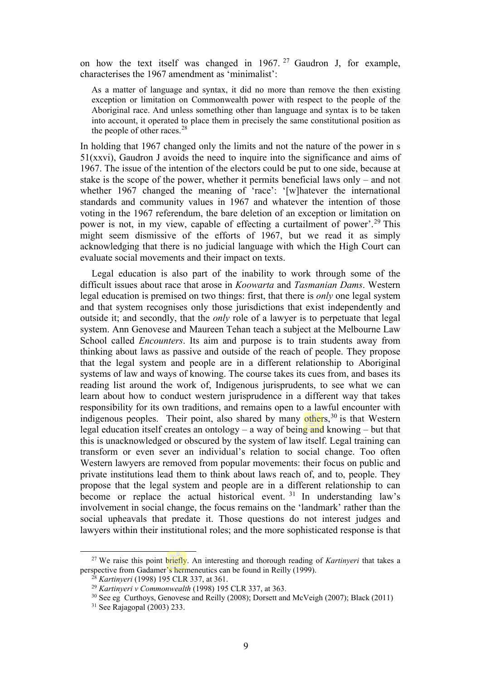on how the text itself was changed in 1967. <sup>[27](#page-8-2)</sup> Gaudron J, for example, characterises the 1967 amendment as 'minimalist':

As a matter of language and syntax, it did no more than remove the then existing exception or limitation on Commonwealth power with respect to the people of the Aboriginal race. And unless something other than language and syntax is to be taken into account, it operated to place them in precisely the same constitutional position as the people of other races.<sup>[28](#page-8-3)</sup>

In holding that 1967 changed only the limits and not the nature of the power in s 51(xxvi), Gaudron J avoids the need to inquire into the significance and aims of 1967. The issue of the intention of the electors could be put to one side, because at stake is the scope of the power, whether it permits beneficial laws only – and not whether 1967 changed the meaning of 'race': '[w]hatever the international standards and community values in 1967 and whatever the intention of those voting in the 1967 referendum, the bare deletion of an exception or limitation on power is not, in my view, capable of effecting a curtailment of power'.<sup>[29](#page-8-4)</sup> This might seem dismissive of the efforts of 1967, but we read it as simply acknowledging that there is no judicial language with which the High Court can evaluate social movements and their impact on texts.

Legal education is also part of the inability to work through some of the difficult issues about race that arose in *Koowarta* and *Tasmanian Dams*. Western legal education is premised on two things: first, that there is *only* one legal system and that system recognises only those jurisdictions that exist independently and outside it; and secondly, that the *only* role of a lawyer is to perpetuate that legal system. Ann Genovese and Maureen Tehan teach a subject at the Melbourne Law School called *Encounters*. Its aim and purpose is to train students away from thinking about laws as passive and outside of the reach of people. They propose that the legal system and people are in a different relationship to Aboriginal systems of law and ways of knowing. The course takes its cues from, and bases its reading list around the work of, Indigenous jurisprudents, to see what we can learn about how to conduct western jurisprudence in a different way that takes responsibility for its own traditions, and remains open to a lawful encounter with indigenous peoples. Their point, also shared by many others,<sup>[30](#page-8-5)</sup> is that Western legal education itself creates an ontology – a way of being and knowing – but that this is unacknowledged or obscured by the system of law itself. Legal training can transform or even sever an individual's relation to social change. Too often Western lawyers are removed from popular movements: their focus on public and private institutions lead them to think about laws reach of, and to, people. They propose that the legal system and people are in a different relationship to can become or replace the actual historical event. [31](#page-9-0) In understanding law's involvement in social change, the focus remains on the 'landmark' rather than the social upheavals that predate it. Those questions do not interest judges and lawyers within their institutional roles; and the more sophisticated response is that

<span id="page-8-4"></span><span id="page-8-3"></span><span id="page-8-2"></span><span id="page-8-1"></span><span id="page-8-0"></span><sup>27</sup> We raise this point briefly. An interesting and thorough reading of *Kartinyeri* that takes a perspective from Gadamer's hermeneutics can be found in Reilly (1999).

<sup>28</sup> *Kartinyeri* (1998) 195 CLR 337, at 361.

<sup>29</sup> *Kartinyeri v Commonwealth* (1998) 195 CLR 337, at 363.

<sup>30</sup> See eg Curthoys, Genovese and Reilly (2008); Dorsett and McVeigh (2007); Black (2011)

<span id="page-8-5"></span><sup>31</sup> See Rajagopal (2003) 233.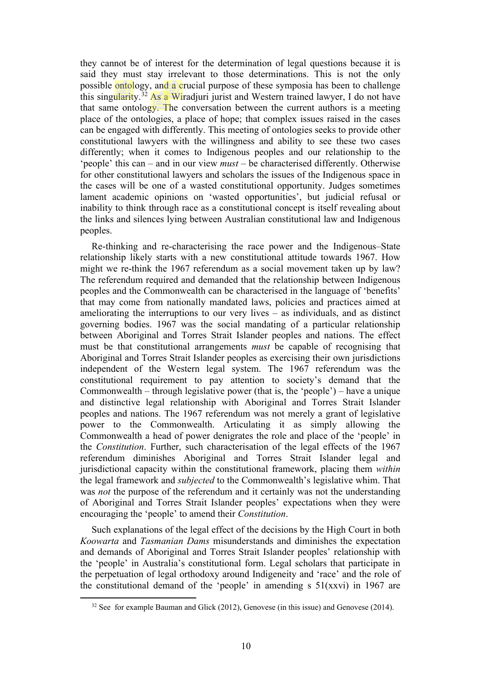they cannot be of interest for the determination of legal questions because it is said they must stay irrelevant to those determinations. This is not the only possible ontology, and a crucial purpose of these symposia has been to challenge this singularity.<sup>[32](#page-9-1)</sup> As a Wiradjuri jurist and Western trained lawyer, I do not have that same ontology. The conversation between the current authors is a meeting place of the ontologies, a place of hope; that complex issues raised in the cases can be engaged with differently. This meeting of ontologies seeks to provide other constitutional lawyers with the willingness and ability to see these two cases differently; when it comes to Indigenous peoples and our relationship to the 'people' this can – and in our view *must* – be characterised differently. Otherwise for other constitutional lawyers and scholars the issues of the Indigenous space in the cases will be one of a wasted constitutional opportunity. Judges sometimes lament academic opinions on 'wasted opportunities', but judicial refusal or inability to think through race as a constitutional concept is itself revealing about the links and silences lying between Australian constitutional law and Indigenous peoples.

Re-thinking and re-characterising the race power and the Indigenous–State relationship likely starts with a new constitutional attitude towards 1967. How might we re-think the 1967 referendum as a social movement taken up by law? The referendum required and demanded that the relationship between Indigenous peoples and the Commonwealth can be characterised in the language of 'benefits' that may come from nationally mandated laws, policies and practices aimed at ameliorating the interruptions to our very lives – as individuals, and as distinct governing bodies. 1967 was the social mandating of a particular relationship between Aboriginal and Torres Strait Islander peoples and nations. The effect must be that constitutional arrangements *must* be capable of recognising that Aboriginal and Torres Strait Islander peoples as exercising their own jurisdictions independent of the Western legal system. The 1967 referendum was the constitutional requirement to pay attention to society's demand that the Commonwealth – through legislative power (that is, the 'people') – have a unique and distinctive legal relationship with Aboriginal and Torres Strait Islander peoples and nations. The 1967 referendum was not merely a grant of legislative power to the Commonwealth. Articulating it as simply allowing the Commonwealth a head of power denigrates the role and place of the 'people' in the *Constitution*. Further, such characterisation of the legal effects of the 1967 referendum diminishes Aboriginal and Torres Strait Islander legal and jurisdictional capacity within the constitutional framework, placing them *within* the legal framework and *subjected* to the Commonwealth's legislative whim. That was *not* the purpose of the referendum and it certainly was not the understanding of Aboriginal and Torres Strait Islander peoples' expectations when they were encouraging the 'people' to amend their *Constitution*.

Such explanations of the legal effect of the decisions by the High Court in both *Koowarta* and *Tasmanian Dams* misunderstands and diminishes the expectation and demands of Aboriginal and Torres Strait Islander peoples' relationship with the 'people' in Australia's constitutional form. Legal scholars that participate in the perpetuation of legal orthodoxy around Indigeneity and 'race' and the role of the constitutional demand of the 'people' in amending  $s \frac{51}{xv}$  in 1967 are

<span id="page-9-1"></span><span id="page-9-0"></span><sup>&</sup>lt;sup>32</sup> See for example Bauman and Glick (2012), Genovese (in this issue) and Genovese (2014).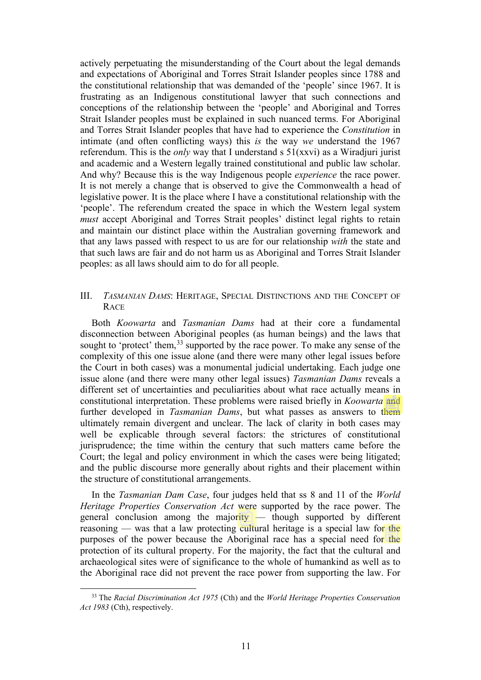actively perpetuating the misunderstanding of the Court about the legal demands and expectations of Aboriginal and Torres Strait Islander peoples since 1788 and the constitutional relationship that was demanded of the 'people' since 1967. It is frustrating as an Indigenous constitutional lawyer that such connections and conceptions of the relationship between the 'people' and Aboriginal and Torres Strait Islander peoples must be explained in such nuanced terms. For Aboriginal and Torres Strait Islander peoples that have had to experience the *Constitution* in intimate (and often conflicting ways) this *is* the way *we* understand the 1967 referendum. This is the *only* way that I understand s 51(xxvi) as a Wiradjuri jurist and academic and a Western legally trained constitutional and public law scholar. And why? Because this is the way Indigenous people *experience* the race power. It is not merely a change that is observed to give the Commonwealth a head of legislative power. It is the place where I have a constitutional relationship with the 'people'. The referendum created the space in which the Western legal system *must* accept Aboriginal and Torres Strait peoples' distinct legal rights to retain and maintain our distinct place within the Australian governing framework and that any laws passed with respect to us are for our relationship *with* the state and that such laws are fair and do not harm us as Aboriginal and Torres Strait Islander peoples: as all laws should aim to do for all people.

# III. *TASMANIAN DAMS*: HERITAGE, SPECIAL DISTINCTIONS AND THE CONCEPT OF RACE

Both *Koowarta* and *Tasmanian Dams* had at their core a fundamental disconnection between Aboriginal peoples (as human beings) and the laws that sought to 'protect' them,<sup>[33](#page-10-0)</sup> supported by the race power. To make any sense of the complexity of this one issue alone (and there were many other legal issues before the Court in both cases) was a monumental judicial undertaking. Each judge one issue alone (and there were many other legal issues) *Tasmanian Dams* reveals a different set of uncertainties and peculiarities about what race actually mea[ns](#page-10-1) in constitutional interpretation. These problems were raised briefly in *Koowarta* and further developed in *Tasmanian Dams*, but what passes as answers to them ultimately remain divergent and unclear. The lack of clarity in both cases may well be explicable through several factors: the strictures of constitutional jurisprudence; the time within the century that such matters came before the Court; the legal and policy environment in which the cases were being litigated; and the public discourse more generally about rights and their placement within the structure of constitutional arrangements.

In the *Tasmanian Dam Case*, four judges held that ss 8 and 11 of the *World Heritage Properties Conservation Act* were supported by the race power. The general conclusion among the majority — though supported by different reasoning — was that a law protecting cultural heritage is a special law for the purposes of the power because the Aboriginal race has a special need for the protection of its cultural property. For the majority, the fact that the cultural and archaeological sites were of significance to the whole of humankind as well as to the Aboriginal race did not prevent the race power from supporting the law. For

<span id="page-10-1"></span><span id="page-10-0"></span><sup>33</sup> The *Racial Discrimination Act 1975* (Cth) and the *World Heritage Properties Conservation Act 1983* (Cth), respectively.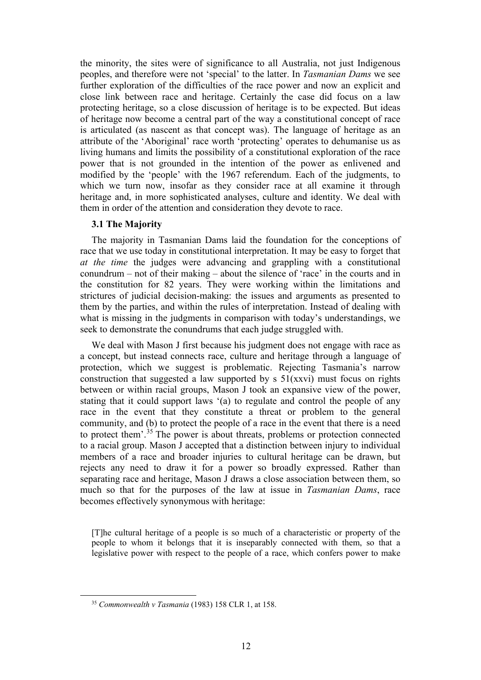the minority, the sites were of significance to all Australia, not just Indigenous peoples, and therefore were not 'special' to the latter. In *Tasmanian Dams* we see further exploration of the difficulties of the race power and now an explicit and close link between race and heritage. Certainly the case did focus on a law protecting heritage, so a close discussion of heritage is to be expected. But ideas of heritage now become a central part of the way a constitutional concept of race is articulated (as nascent as that concept was). The language of heritage as an attribute of the 'Aboriginal' race worth 'protecting' operates to dehumanise us as living humans and limits the possibility of a constitutional exploration of the race power that is not grounded in the intention of the power as enlivened and modified by the 'people' with the 1967 referendum. Each of the judgments, to which we turn now, insofar as they consider race at all examine it through heritage and, in more sophisticated analyses, culture and identity. We deal with them in order of the attention and consideration they devote to race.

# **3.1 The Majority**

The majority in Tasmanian Dams laid the foundation for the conceptions of race that we use today in constitutional interpretation. It may be easy to forget that *at the time* the judges were advancing and grappling with a constitutional conundrum – not of their making – about the silence of 'race' in the courts and in the constitution for 82 years. They were working within the limitations and strictures of judicial decision-making: the issues and arguments as presented to them by the parties, and within the rules of interpretation. Instead of dealing with what is missing in the judgments in comparison with today's understandings, we seek to demonstrate the conundrums that each judge struggled with.

We deal with Mason J first because his judgment does not engage with race as a concept, but instead connects race, culture and heritage through a language of protection, which we suggest is problematic. Rejecting Tasmania's narrow construction that suggested a law supported by  $s \frac{51}{(xxv_i)}$  must focus on rights between or within racial groups, Mason J took an expansive view of the power, stating that it could support laws '(a) to regulate and control the people of any race in the event that they constitute a threat or problem to the general community, and (b) to protect the people of a race in the event that there is a need to protect them'.[35](#page-11-0) The power is about threats, problems or protection connected to a racial group. Mason J accepted that a distinction between injury to individual members of a race and broader injuries to cultural heritage can be drawn, but rejects any need to draw it for a power so broadly expressed. Rather than separating race and heritage, Mason J draws a close association between them, so much so that for the purposes of the law at issue in *Tasmanian Dams*, race becomes effectively synonymous with heritage:

[T]he cultural heritage of a people is so much of a characteristic or property of the people to whom it belongs that it is inseparably connected with them, so that a legislative power with respect to the people of a race, which confers power to make

<span id="page-11-0"></span><sup>35</sup> *Commonwealth v Tasmania* (1983) 158 CLR 1, at 158.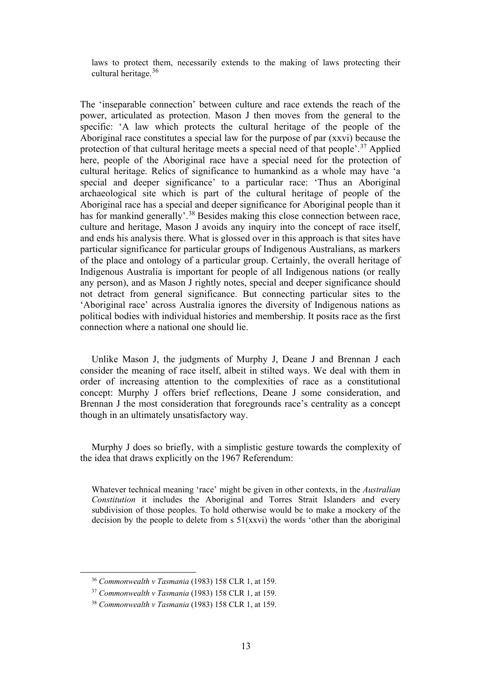laws to protect them, necessarily extends to the making of laws protecting their cultural heritage.[36](#page-12-0)

The 'inseparable connection' between culture and race extends the reach of the power, articulated as protection. Mason J then moves from the general to the specific: 'A law which protects the cultural heritage of the people of the Aboriginal race constitutes a special law for the purpose of par (xxvi) because the protection of that cultural heritage meets a special need of that people'.<sup>[37](#page-12-1)</sup> Applied here, people of the Aboriginal race have a special need for the protection of cultural heritage. Relics of significance to humankind as a whole may have 'a special and deeper significance' to a particular race: 'Thus an Aboriginal archaeological site which is part of the cultural heritage of people of the Aboriginal race has a special and deeper significance for Aboriginal people than it has for mankind generally'.<sup>[38](#page-12-2)</sup> Besides making this close connection between race, culture and heritage, Mason J avoids any inquiry into the concept of race itself, and ends his analysis there. What is glossed over in this approach is that sites have particular significance for particular groups of Indigenous Australians, as markers of the place and ontology of a particular group. Certainly, the overall heritage of Indigenous Australia is important for people of all Indigenous nations (or really any person), and as Mason J rightly notes, special and deeper significance should not detract from general significance. But connecting particular sites to the 'Aboriginal race' across Australia ignores the diversity of Indigenous nations as political bodies with individual histories and membership. It posits race as the first connection where a national one should lie.

Unlike Mason J, the judgments of Murphy J, Deane J and Brennan J each consider the meaning of race itself, albeit in stilted ways. We deal with them in order of increasing attention to the complexities of race as a constitutional concept: Murphy J offers brief reflections, Deane J some consideration, and Brennan J the most consideration that foregrounds race's centrality as a concept though in an ultimately unsatisfactory way.

Murphy J does so briefly, with a simplistic gesture towards the complexity of the idea that draws explicitly on the 1967 Referendum:

Whatever technical meaning 'race' might be given in other contexts, in the *Australian Constitution* it includes the Aboriginal and Torres Strait Islanders and every subdivision of those peoples. To hold otherwise would be to make a mockery of the decision by the people to delete from  $s \frac{51}{xv}$  the words 'other than the aboriginal

<span id="page-12-1"></span><span id="page-12-0"></span><sup>36</sup> *Commonwealth v Tasmania* (1983) 158 CLR 1, at 159.

<sup>37</sup> *Commonwealth v Tasmania* (1983) 158 CLR 1, at 159.

<span id="page-12-2"></span><sup>38</sup> *Commonwealth v Tasmania* (1983) 158 CLR 1, at 159.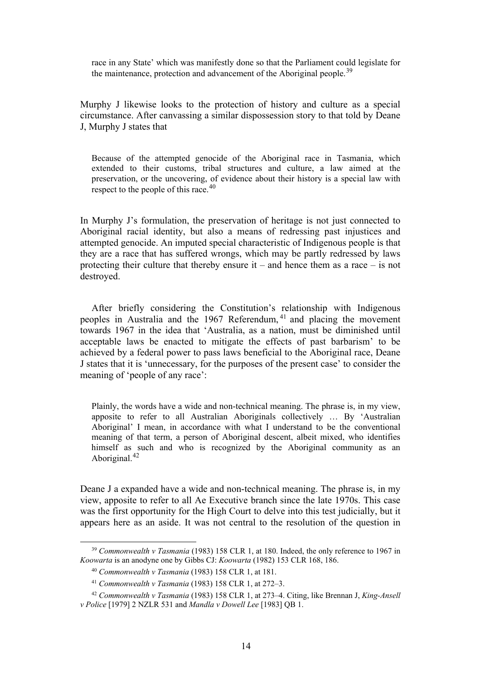race in any State' which was manifestly done so that the Parliament could legislate for the maintenance, protection and advancement of the Aboriginal people.<sup>[39](#page-13-0)</sup>

Murphy J likewise looks to the protection of history and culture as a special circumstance. After canvassing a similar dispossession story to that told by Deane J, Murphy J states that

Because of the attempted genocide of the Aboriginal race in Tasmania, which extended to their customs, tribal structures and culture, a law aimed at the preservation, or the uncovering, of evidence about their history is a special law with respect to the people of this race. $40$ 

In Murphy J's formulation, the preservation of heritage is not just connected to Aboriginal racial identity, but also a means of redressing past injustices and attempted genocide. An imputed special characteristic of Indigenous people is that they are a race that has suffered wrongs, which may be partly redressed by laws protecting their culture that thereby ensure it – and hence them as a race – is not destroyed.

After briefly considering the Constitution's relationship with Indigenous peoples in Australia and the 1967 Referendum,<sup>[41](#page-13-2)</sup> and placing the movement towards 1967 in the idea that 'Australia, as a nation, must be diminished until acceptable laws be enacted to mitigate the effects of past barbarism' to be achieved by a federal power to pass laws beneficial to the Aboriginal race, Deane J states that it is 'unnecessary, for the purposes of the present case' to consider the meaning of 'people of any race':

Plainly, the words have a wide and non-technical meaning. The phrase is, in my view, apposite to refer to all Australian Aboriginals collectively … By 'Australian Aboriginal' I mean, in accordance with what I understand to be the conventional meaning of that term, a person of Aboriginal descent, albeit mixed, who identifies himself as such and who is recognized by the Aboriginal community as an Aboriginal.<sup>[42](#page-13-3)</sup>

Deane J a expanded have a wide and non-technical meaning. The phrase is, in my view, apposite to refer to all Ae Executive branch since the late 1970s. This case was the first opportunity for the High Court to delve into this test judicially, but it appears here as an aside. It was not central to the resolution of the question in

<span id="page-13-1"></span><span id="page-13-0"></span><sup>39</sup> *Commonwealth v Tasmania* (1983) 158 CLR 1, at 180. Indeed, the only reference to 1967 in *Koowarta* is an anodyne one by Gibbs CJ: *Koowarta* (1982) 153 CLR 168, 186.

<sup>40</sup> *Commonwealth v Tasmania* (1983) 158 CLR 1, at 181.

<sup>41</sup> *Commonwealth v Tasmania* (1983) 158 CLR 1, at 272–3.

<span id="page-13-3"></span><span id="page-13-2"></span><sup>42</sup> *Commonwealth v Tasmania* (1983) 158 CLR 1, at 273–4. Citing, like Brennan J, *King-Ansell v Police* [1979] 2 NZLR 531 and *Mandla v Dowell Lee* [1983] QB 1.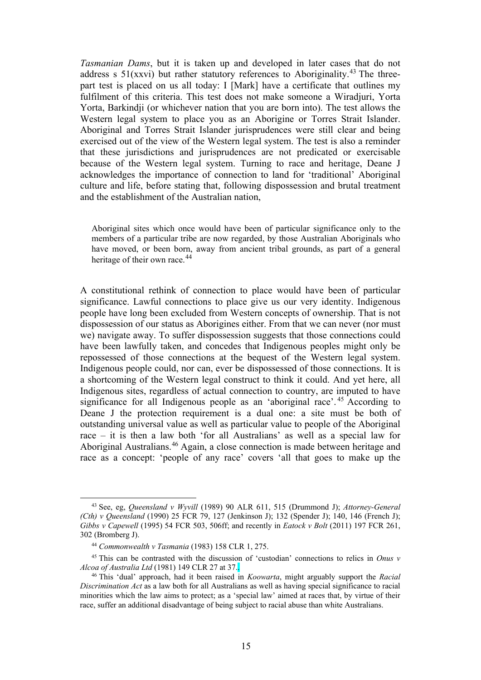*Tasmanian Dams*, but it is taken up and developed in later cases that do not address s  $51(xxvi)$  but rather statutory references to Aboriginality.<sup>[43](#page-14-0)</sup> The threepart test is placed on us all today: I [Mark] have a certificate that outlines my fulfilment of this criteria. This test does not make someone a Wiradjuri, Yorta Yorta, Barkindji (or whichever nation that you are born into). The test allows the Western legal system to place you as an Aborigine or Torres Strait Islander. Aboriginal and Torres Strait Islander jurisprudences were still clear and being exercised out of the view of the Western legal system. The test is also a reminder that these jurisdictions and jurisprudences are not predicated or exercisable because of the Western legal system. Turning to race and heritage, Deane J acknowledges the importance of connection to land for 'traditional' Aboriginal culture and life, before stating that, following dispossession and brutal treatment and the establishment of the Australian nation,

Aboriginal sites which once would have been of particular significance only to the members of a particular tribe are now regarded, by those Australian Aboriginals who have moved, or been born, away from ancient tribal grounds, as part of a general heritage of their own race.<sup>[44](#page-14-1)</sup>

A constitutional rethink of connection to place would have been of particular significance. Lawful connections to place give us our very identity. Indigenous people have long been excluded from Western concepts of ownership. That is not dispossession of our status as Aborigines either. From that we can never (nor must we) navigate away. To suffer dispossession suggests that those connections could have been lawfully taken, and concedes that Indigenous peoples might only be repossessed of those connections at the bequest of the Western legal system. Indigenous people could, nor can, ever be dispossessed of those connections. It is a shortcoming of the Western legal construct to think it could. And yet here, all Indigenous sites, regardless of actual connection to country, are imputed to have significance for all Indigenous people as an 'aboriginal race'.<sup>[45](#page-14-2)</sup> According to Deane J the protection requirement is a dual one: a site must be both of outstanding universal value as well as particular value to people of the Aboriginal race – it is then a law both 'for all Australians' as well as a special law for Aboriginal Australians.[46](#page-14-3) Again, a close connection is made between heritage and race as a concept: 'people of any race' covers 'all that goes to make up the

<span id="page-14-0"></span><sup>43</sup> See, eg, *Queensland v Wyvill* (1989) 90 ALR 611, 515 (Drummond J); *Attorney-General (Cth) v Queensland* (1990) 25 FCR 79, 127 (Jenkinson J); 132 (Spender J); 140, 146 (French J); *Gibbs v Capewell* (1995) 54 FCR 503, 506ff; and recently in *Eatock v Bolt* (2011) 197 FCR 261, 302 (Bromberg J).

<sup>44</sup> *Commonwealth v Tasmania* (1983) 158 CLR 1, 275.

<span id="page-14-1"></span><sup>45</sup> This can be contrasted with the discussion of 'custodian' connections to relics in *Onus v Alcoa of Australia Ltd* (1981) 149 CLR 27 at 37..

<span id="page-14-3"></span><span id="page-14-2"></span><sup>46</sup> This 'dual' approach, had it been raised in *Koowarta*, might arguably support the *Racial Discrimination Act* as a law both for all Australians as well as having special significance to racial minorities which the law aims to protect; as a 'special law' aimed at races that, by virtue of their race, suffer an additional disadvantage of being subject to racial abuse than white Australians.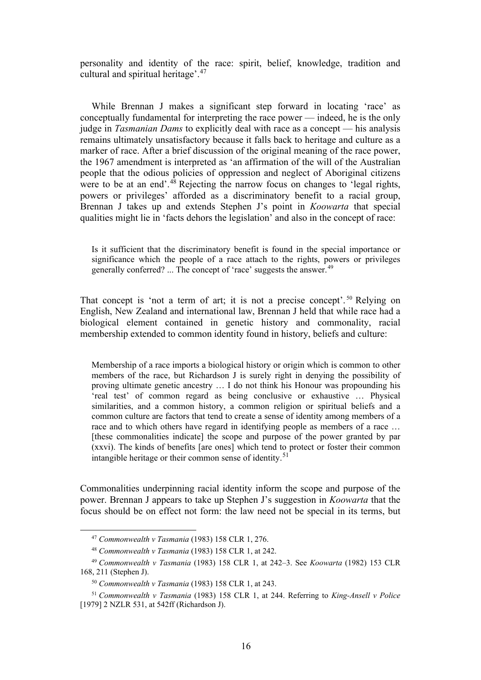personality and identity of the race: spirit, belief, knowledge, tradition and cultural and spiritual heritage'.[47](#page-15-0)

While Brennan J makes a significant step forward in locating 'race' as conceptually fundamental for interpreting the race power — indeed, he is the only judge in *Tasmanian Dams* to explicitly deal with race as a concept — his analysis remains ultimately unsatisfactory because it falls back to heritage and culture as a marker of race. After a brief discussion of the original meaning of the race power, the 1967 amendment is interpreted as 'an affirmation of the will of the Australian people that the odious policies of oppression and neglect of Aboriginal citizens were to be at an end'.<sup>[48](#page-15-1)</sup> Rejecting the narrow focus on changes to 'legal rights, powers or privileges' afforded as a discriminatory benefit to a racial group, Brennan J takes up and extends Stephen J's point in *Koowarta* that special qualities might lie in 'facts dehors the legislation' and also in the concept of race:

Is it sufficient that the discriminatory benefit is found in the special importance or significance which the people of a race attach to the rights, powers or privileges generally conferred? ... The concept of 'race' suggests the answer.<sup>[49](#page-15-2)</sup>

That concept is 'not a term of art; it is not a precise concept'.<sup>[50](#page-15-3)</sup> Relying on English, New Zealand and international law, Brennan J held that while race had a biological element contained in genetic history and commonality, racial membership extended to common identity found in history, beliefs and culture:

Membership of a race imports a biological history or origin which is common to other members of the race, but Richardson J is surely right in denying the possibility of proving ultimate genetic ancestry … I do not think his Honour was propounding his 'real test' of common regard as being conclusive or exhaustive … Physical similarities, and a common history, a common religion or spiritual beliefs and a common culture are factors that tend to create a sense of identity among members of a race and to which others have regard in identifying people as members of a race ... [these commonalities indicate] the scope and purpose of the power granted by par (xxvi). The kinds of benefits [are ones] which tend to protect or foster their common intangible heritage or their common sense of identity.<sup>[51](#page-15-4)</sup>

Commonalities underpinning racial identity inform the scope and purpose of the power. Brennan J appears to take up Stephen J's suggestion in *Koowarta* that the focus should be on effect not form: the law need not be special in its terms, but

<sup>47</sup> *Commonwealth v Tasmania* (1983) 158 CLR 1, 276.

<sup>48</sup> *Commonwealth v Tasmania* (1983) 158 CLR 1, at 242.

<span id="page-15-2"></span><span id="page-15-1"></span><span id="page-15-0"></span><sup>49</sup> *Commonwealth v Tasmania* (1983) 158 CLR 1, at 242–3. See *Koowarta* (1982) 153 CLR 168, 211 (Stephen J).

<sup>50</sup> *Commonwealth v Tasmania* (1983) 158 CLR 1, at 243.

<span id="page-15-4"></span><span id="page-15-3"></span><sup>51</sup> *Commonwealth v Tasmania* (1983) 158 CLR 1, at 244. Referring to *King-Ansell v Police* [1979] 2 NZLR 531, at 542ff (Richardson J).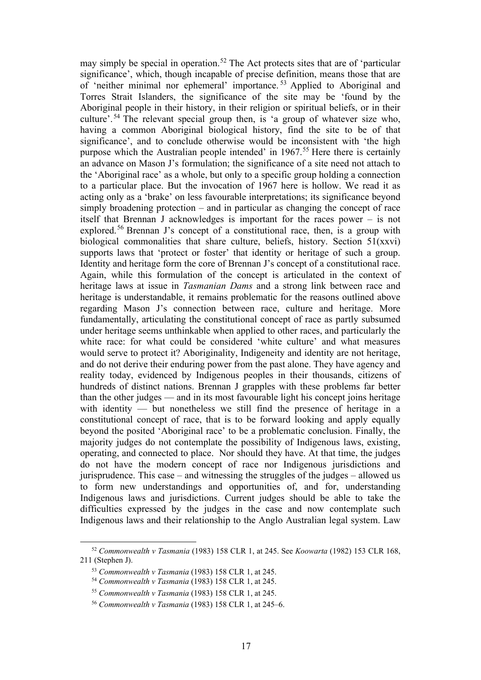may simply be special in operation.<sup>[52](#page-16-0)</sup> The Act protects sites that are of 'particular significance', which, though incapable of precise definition, means those that are of 'neither minimal nor ephemeral' importance. [53](#page-16-1) Applied to Aboriginal and Torres Strait Islanders, the significance of the site may be 'found by the Aboriginal people in their history, in their religion or spiritual beliefs, or in their culture'. [54](#page-16-2) The relevant special group then, is 'a group of whatever size who, having a common Aboriginal biological history, find the site to be of that significance', and to conclude otherwise would be inconsistent with 'the high purpose which the Australian people intended' in 1967.<sup>[55](#page-16-3)</sup> Here there is certainly an advance on Mason J's formulation; the significance of a site need not attach to the 'Aboriginal race' as a whole, but only to a specific group holding a connection to a particular place. But the invocation of 1967 here is hollow. We read it as acting only as a 'brake' on less favourable interpretations; its significance beyond simply broadening protection – and in particular as changing the concept of race itself that Brennan J acknowledges is important for the races power – is not explored.<sup>[56](#page-16-4)</sup> Brennan J's concept of a constitutional race, then, is a group with biological commonalities that share culture, beliefs, history. Section 51(xxvi) supports laws that 'protect or foster' that identity or heritage of such a group. Identity and heritage form the core of Brennan J's concept of a constitutional race. Again, while this formulation of the concept is articulated in the context of heritage laws at issue in *Tasmanian Dams* and a strong link between race and heritage is understandable, it remains problematic for the reasons outlined above regarding Mason J's connection between race, culture and heritage. More fundamentally, articulating the constitutional concept of race as partly subsumed under heritage seems unthinkable when applied to other races, and particularly the white race: for what could be considered 'white culture' and what measures would serve to protect it? Aboriginality, Indigeneity and identity are not heritage, and do not derive their enduring power from the past alone. They have agency and reality today, evidenced by Indigenous peoples in their thousands, citizens of hundreds of distinct nations. Brennan J grapples with these problems far better than the other judges — and in its most favourable light his concept joins heritage with identity — but nonetheless we still find the presence of heritage in a constitutional concept of race, that is to be forward looking and apply equally beyond the posited 'Aboriginal race' to be a problematic conclusion. Finally, the majority judges do not contemplate the possibility of Indigenous laws, existing, operating, and connected to place. Nor should they have. At that time, the judges do not have the modern concept of race nor Indigenous jurisdictions and jurisprudence. This case – and witnessing the struggles of the judges – allowed us to form new understandings and opportunities of, and for, understanding Indigenous laws and jurisdictions. Current judges should be able to take the difficulties expressed by the judges in the case and now contemplate such Indigenous laws and their relationship to the Anglo Australian legal system. Law

<span id="page-16-3"></span><span id="page-16-2"></span><span id="page-16-1"></span><span id="page-16-0"></span><sup>52</sup> *Commonwealth v Tasmania* (1983) 158 CLR 1, at 245. See *Koowarta* (1982) 153 CLR 168, 211 (Stephen J).

<sup>53</sup> *Commonwealth v Tasmania* (1983) 158 CLR 1, at 245.

<sup>54</sup> *Commonwealth v Tasmania* (1983) 158 CLR 1, at 245.

<sup>55</sup> *Commonwealth v Tasmania* (1983) 158 CLR 1, at 245.

<span id="page-16-4"></span><sup>56</sup> *Commonwealth v Tasmania* (1983) 158 CLR 1, at 245–6.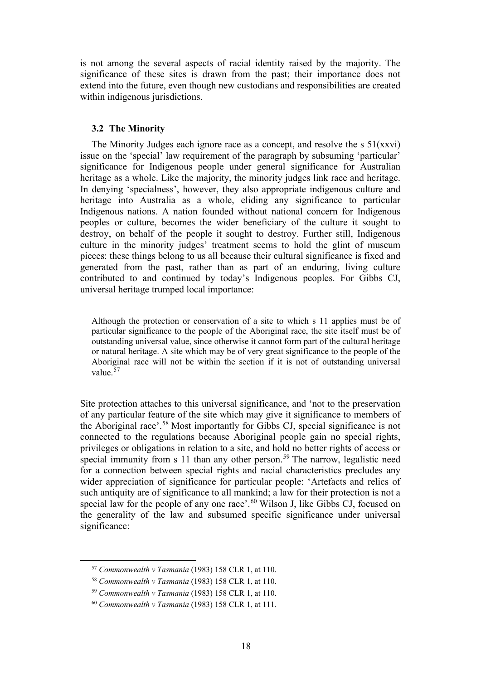is not among the several aspects of racial identity raised by the majority. The significance of these sites is drawn from the past; their importance does not extend into the future, even though new custodians and responsibilities are created within indigenous jurisdictions.

### **3.2 The Minority**

The Minority Judges each ignore race as a concept, and resolve the s  $51(xxy)$ issue on the 'special' law requirement of the paragraph by subsuming 'particular' significance for Indigenous people under general significance for Australian heritage as a whole. Like the majority, the minority judges link race and heritage. In denying 'specialness', however, they also appropriate indigenous culture and heritage into Australia as a whole, eliding any significance to particular Indigenous nations. A nation founded without national concern for Indigenous peoples or culture, becomes the wider beneficiary of the culture it sought to destroy, on behalf of the people it sought to destroy. Further still, Indigenous culture in the minority judges' treatment seems to hold the glint of museum pieces: these things belong to us all because their cultural significance is fixed and generated from the past, rather than as part of an enduring, living culture contributed to and continued by today's Indigenous peoples. For Gibbs CJ, universal heritage trumped local importance:

Although the protection or conservation of a site to which s 11 applies must be of particular significance to the people of the Aboriginal race, the site itself must be of outstanding universal value, since otherwise it cannot form part of the cultural heritage or natural heritage. A site which may be of very great significance to the people of the Aboriginal race will not be within the section if it is not of outstanding universal value.[57](#page-17-0)

Site protection attaches to this universal significance, and 'not to the preservation of any particular feature of the site which may give it significance to members of the Aboriginal race'.[58](#page-17-1) Most importantly for Gibbs CJ, special significance is not connected to the regulations because Aboriginal people gain no special rights, privileges or obligations in relation to a site, and hold no better rights of access or special immunity from s 11 than any other person.<sup>[59](#page-17-2)</sup> The narrow, legalistic need for a connection between special rights and racial characteristics precludes any wider appreciation of significance for particular people: 'Artefacts and relics of such antiquity are of significance to all mankind; a law for their protection is not a special law for the people of any one race'.<sup>[60](#page-17-3)</sup> Wilson J, like Gibbs CJ, focused on the generality of the law and subsumed specific significance under universal significance:

<span id="page-17-1"></span><span id="page-17-0"></span><sup>57</sup> *Commonwealth v Tasmania* (1983) 158 CLR 1, at 110.

<sup>58</sup> *Commonwealth v Tasmania* (1983) 158 CLR 1, at 110.

<span id="page-17-2"></span><sup>59</sup> *Commonwealth v Tasmania* (1983) 158 CLR 1, at 110.

<span id="page-17-3"></span><sup>60</sup> *Commonwealth v Tasmania* (1983) 158 CLR 1, at 111.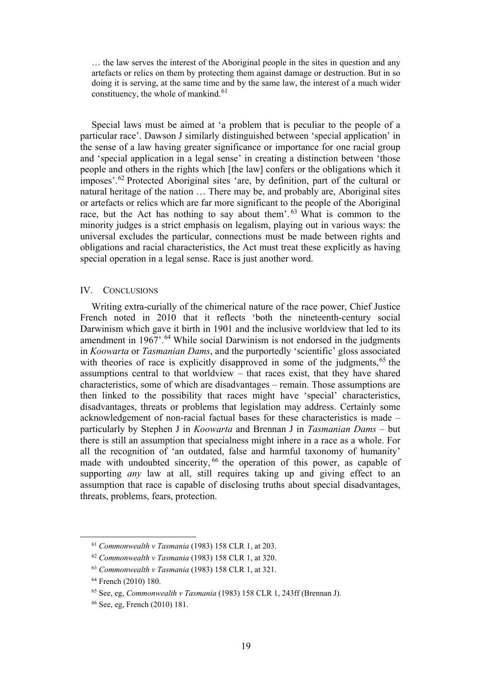… the law serves the interest of the Aboriginal people in the sites in question and any artefacts or relics on them by protecting them against damage or destruction. But in so doing it is serving, at the same time and by the same law, the interest of a much wider constituency, the whole of mankind.<sup>[61](#page-18-0)</sup>

Special laws must be aimed at 'a problem that is peculiar to the people of a particular race'. Dawson J similarly distinguished between 'special application' in the sense of a law having greater significance or importance for one racial group and 'special application in a legal sense' in creating a distinction between 'those people and others in the rights which [the law] confers or the obligations which it imposes'.[62](#page-18-1) Protected Aboriginal sites 'are, by definition, part of the cultural or natural heritage of the nation … There may be, and probably are, Aboriginal sites or artefacts or relics which are far more significant to the people of the Aboriginal race, but the Act has nothing to say about them'. [63](#page-18-2) What is common to the minority judges is a strict emphasis on legalism, playing out in various ways: the universal excludes the particular, connections must be made between rights and obligations and racial characteristics, the Act must treat these explicitly as having special operation in a legal sense. Race is just another word.

## IV. CONCLUSIONS

Writing extra-curially of the chimerical nature of the race power, Chief Justice French noted in 2010 that it reflects 'both the nineteenth-century social Darwinism which gave it birth in 1901 and the inclusive worldview that led to its amendment in  $1967$ <sup>". [64](#page-18-3)</sup> While social Darwinism is not endorsed in the judgments in *Koowarta* or *Tasmanian Dams*, and the purportedly 'scientific' gloss associated with theories of race is explicitly disapproved in some of the judgments,  $65$  the assumptions central to that worldview – that races exist, that they have shared characteristics, some of which are disadvantages – remain. Those assumptions are then linked to the possibility that races might have 'special' characteristics, disadvantages, threats or problems that legislation may address. Certainly some acknowledgement of non-racial factual bases for these characteristics is made – particularly by Stephen J in *Koowarta* and Brennan J in *Tasmanian Dams* – but there is still an assumption that specialness might inhere in a race as a whole. For all the recognition of 'an outdated, false and harmful taxonomy of humanity' made with undoubted sincerity, <sup>[66](#page-18-5)</sup> the operation of this power, as capable of supporting *any* law at all, still requires taking up and giving effect to an assumption that race is capable of disclosing truths about special disadvantages, threats, problems, fears, protection.

<span id="page-18-0"></span><sup>61</sup> *Commonwealth v Tasmania* (1983) 158 CLR 1, at 203.

<span id="page-18-1"></span><sup>62</sup> *Commonwealth v Tasmania* (1983) 158 CLR 1, at 320.

<span id="page-18-2"></span><sup>63</sup> *Commonwealth v Tasmania* (1983) 158 CLR 1, at 321.

<span id="page-18-4"></span><span id="page-18-3"></span><sup>64</sup> French (2010) 180.

<sup>65</sup> See, eg, *Commonwealth v Tasmania* (1983) 158 CLR 1, 243ff (Brennan J).

<span id="page-18-5"></span><sup>66</sup> See, eg, French (2010) 181.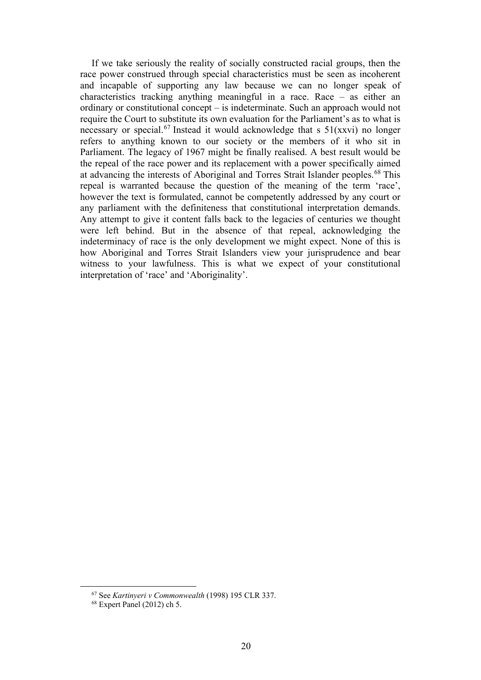If we take seriously the reality of socially constructed racial groups, then the race power construed through special characteristics must be seen as incoherent and incapable of supporting any law because we can no longer speak of characteristics tracking anything meaningful in a race. Race – as either an ordinary or constitutional concept – is indeterminate. Such an approach would not require the Court to substitute its own evaluation for the Parliament's as to what is necessary or special.<sup>[67](#page-19-0)</sup> Instead it would acknowledge that s  $51(xxy)$  no longer refers to anything known to our society or the members of it who sit in Parliament. The legacy of 1967 might be finally realised. A best result would be the repeal of the race power and its replacement with a power specifically aimed at advancing the interests of Aboriginal and Torres Strait Islander peoples.<sup>[68](#page-19-1)</sup> This repeal is warranted because the question of the meaning of the term 'race', however the text is formulated, cannot be competently addressed by any court or any parliament with the definiteness that constitutional interpretation demands. Any attempt to give it content falls back to the legacies of centuries we thought were left behind. But in the absence of that repeal, acknowledging the indeterminacy of race is the only development we might expect. None of this is how Aboriginal and Torres Strait Islanders view your jurisprudence and bear witness to your lawfulness. This is what we expect of your constitutional interpretation of 'race' and 'Aboriginality'.

<span id="page-19-0"></span><sup>67</sup> See *Kartinyeri v Commonwealth* (1998) 195 CLR 337.

<span id="page-19-1"></span><sup>68</sup> Expert Panel (2012) ch 5.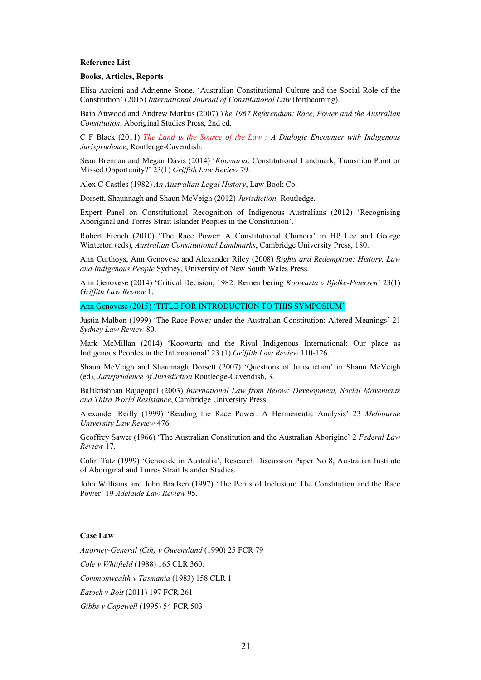#### **Reference List**

#### **Books, Articles, Reports**

Elisa Arcioni and Adrienne Stone, 'Australian Constitutional Culture and the Social Role of the Constitution' (2015) *International Journal of Constitutional Law* (forthcoming).

Bain Attwood and Andrew Markus (2007) *The 1967 Referendum: Race, Power and the Australian Constitution*, Aboriginal Studies Press, 2nd ed.

C F Black (2011) *The Land is the Source of the Law : A Dialogic Encounter with Indigenous Jurisprudence*, Routledge-Cavendish.

Sean Brennan and Megan Davis (2014) '*Koowarta*: Constitutional Landmark, Transition Point or Missed Opportunity?' 23(1) *Griffith Law Review* 79.

Alex C Castles (1982) *An Australian Legal History*, Law Book Co.

Dorsett, Shaunnagh and Shaun McVeigh (2012) *Jurisdiction,* Routledge.

Expert Panel on Constitutional Recognition of Indigenous Australians (2012) 'Recognising Aboriginal and Torres Strait Islander Peoples in the Constitution'.

Robert French (2010) 'The Race Power: A Constitutional Chimera' in HP Lee and George Winterton (eds), *Australian Constitutional Landmarks*, Cambridge University Press, 180.

Ann Curthoys, Ann Genovese and Alexander Riley (2008) *Rights and Redemption: History, Law and Indigenous People* Sydney, University of New South Wales Press.

Ann Genovese (2014) 'Critical Decision, 1982: Remembering *Koowarta v Bjelke-Petersen*' 23(1) *Griffith Law Review* 1.

#### Ann Genovese (2015) 'TITLE FOR INTRODUCTION TO THIS SYMPOSIUM'

Justin Malbon (1999) 'The Race Power under the Australian Constitution: Altered Meanings' 21 *Sydney Law Review* 80.

Mark McMillan (2014) 'Koowarta and the Rival Indigenous International: Our place as Indigenous Peoples in the International' 23 (1) *Griffith Law Review* 110-126.

Shaun McVeigh and Shaunnagh Dorsett (2007) 'Questions of Jurisdiction' in Shaun McVeigh (ed), *Jurisprudence of Jurisdiction* Routledge-Cavendish, 3.

Balakrishnan Rajagopal (2003) *International Law from Below: Development, Social Movements and Third World Resistance*, Cambridge University Press.

Alexander Reilly (1999) 'Reading the Race Power: A Hermeneutic Analysis' 23 *Melbourne University Law Review* 476.

Geoffrey Sawer (1966) 'The Australian Constitution and the Australian Aborigine' 2 *Federal Law Review* 17.

Colin Tatz (1999) 'Genocide in Australia', Research Discussion Paper No 8, Australian Institute of Aboriginal and Torres Strait Islander Studies.

John Williams and John Bradsen (1997) 'The Perils of Inclusion: The Constitution and the Race Power' 19 *Adelaide Law Review* 95.

#### **Case Law**

*Attorney-General (Cth) v Queensland* (1990) 25 FCR 79 *Cole v Whitfield* (1988) 165 CLR 360. *Commonwealth v Tasmania* (1983) 158 CLR 1 *Eatock v Bolt* (2011) 197 FCR 261 *Gibbs v Capewell* (1995) 54 FCR 503